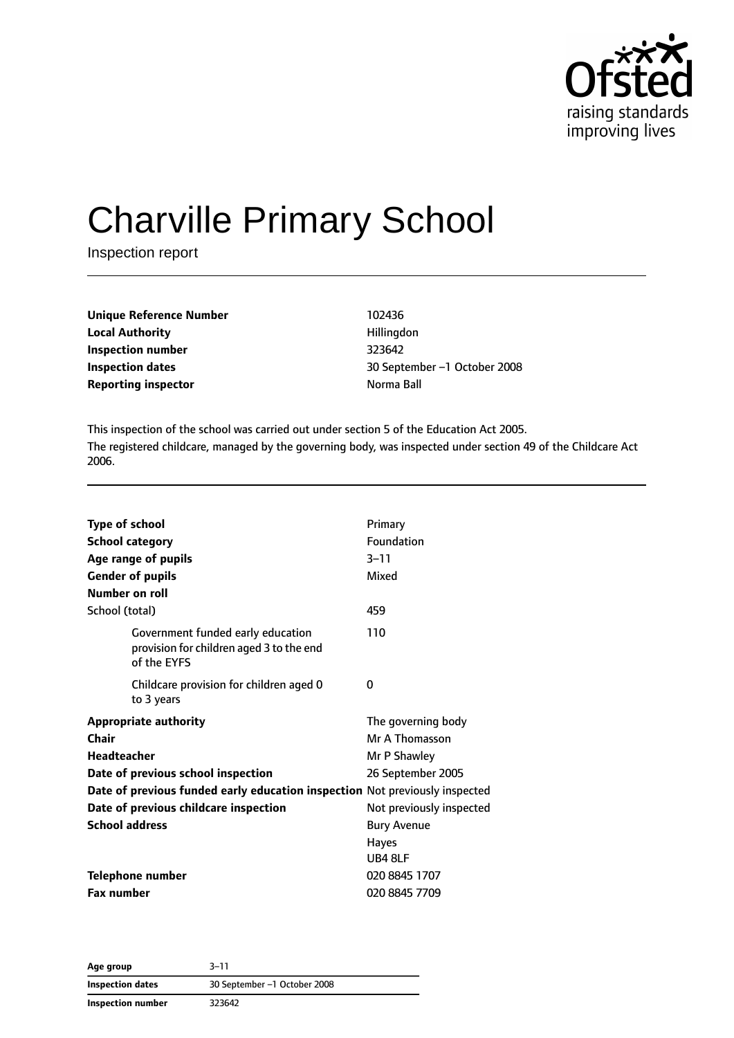

# Charville Primary School

Inspection report

| <b>Unique Reference Number</b> | 102436     |
|--------------------------------|------------|
| <b>Local Authority</b>         | Hillingdon |
| Inspection number              | 323642     |
| Inspection dates               | 30 Septemb |
| <b>Reporting inspector</b>     | Norma Ball |

**Local Authority** Hillingdon **Inspection number** 323642 **Inspection dates** 30 September –1 October 2008

This inspection of the school was carried out under section 5 of the Education Act 2005. The registered childcare, managed by the governing body, was inspected under section 49 of the Childcare Act 2006.

| <b>Type of school</b><br><b>School category</b><br>Age range of pupils                       | Primary<br>Foundation<br>$3 - 11$ |
|----------------------------------------------------------------------------------------------|-----------------------------------|
| <b>Gender of pupils</b><br><b>Number on roll</b>                                             | Mixed                             |
| School (total)                                                                               | 459                               |
| Government funded early education<br>provision for children aged 3 to the end<br>of the EYFS | 110                               |
| Childcare provision for children aged 0<br>to 3 years                                        | 0                                 |
| <b>Appropriate authority</b>                                                                 | The governing body                |
| <b>Chair</b>                                                                                 | Mr A Thomasson                    |
| <b>Headteacher</b>                                                                           | Mr P Shawley                      |
| Date of previous school inspection                                                           | 26 September 2005                 |
| Date of previous funded early education inspection Not previously inspected                  |                                   |
| Date of previous childcare inspection                                                        | Not previously inspected          |
| <b>School address</b>                                                                        | <b>Bury Avenue</b>                |
|                                                                                              | <b>Hayes</b>                      |
|                                                                                              | UB4 8LF                           |
| <b>Telephone number</b>                                                                      | 020 8845 1707                     |
| <b>Fax number</b>                                                                            | 020 8845 7709                     |

**Age group** 3–11 **Inspection dates** 30 September –1 October 2008 **Inspection number** 323642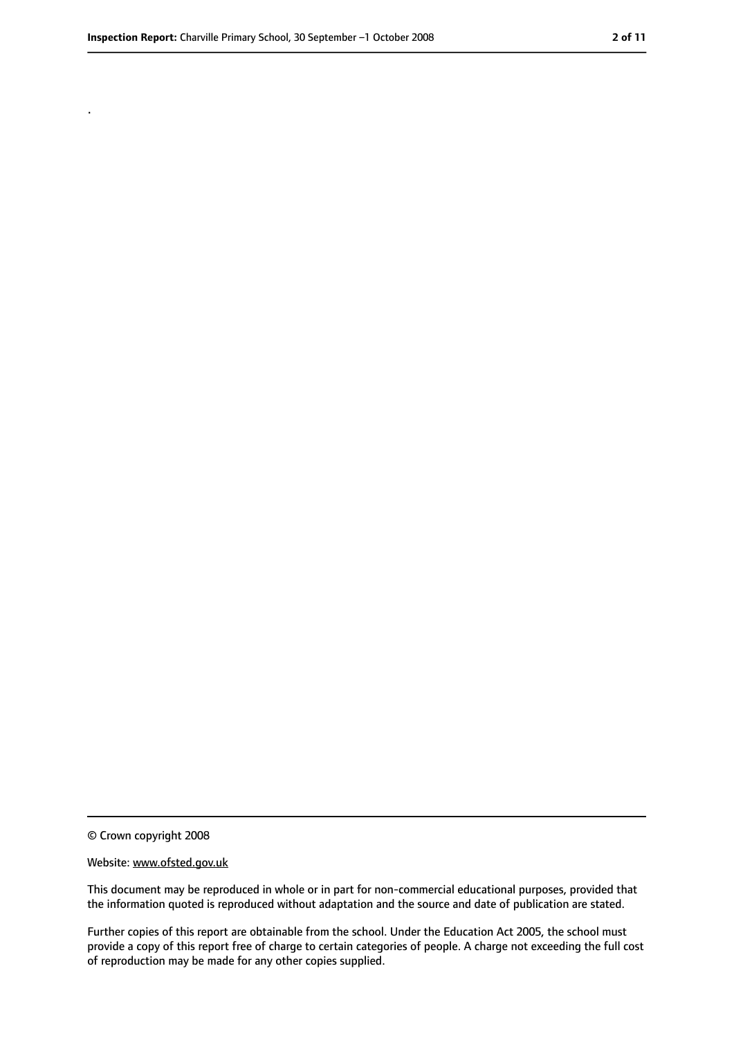.

<sup>©</sup> Crown copyright 2008

Website: www.ofsted.gov.uk

This document may be reproduced in whole or in part for non-commercial educational purposes, provided that the information quoted is reproduced without adaptation and the source and date of publication are stated.

Further copies of this report are obtainable from the school. Under the Education Act 2005, the school must provide a copy of this report free of charge to certain categories of people. A charge not exceeding the full cost of reproduction may be made for any other copies supplied.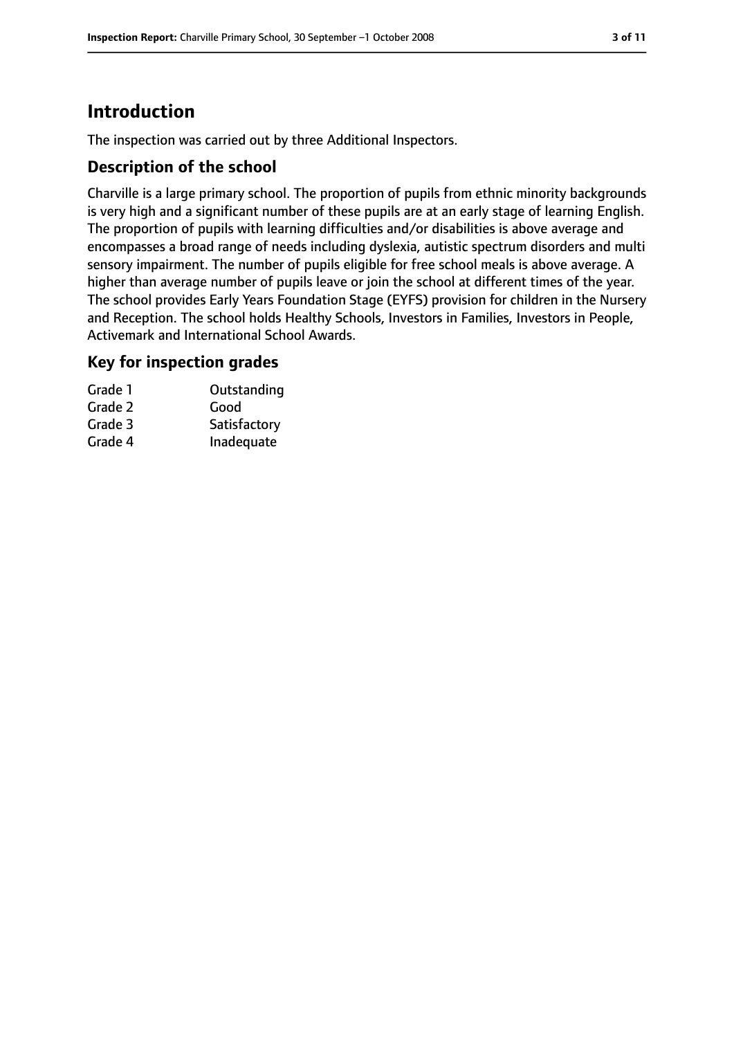### **Introduction**

The inspection was carried out by three Additional Inspectors.

#### **Description of the school**

Charville is a large primary school. The proportion of pupils from ethnic minority backgrounds is very high and a significant number of these pupils are at an early stage of learning English. The proportion of pupils with learning difficulties and/or disabilities is above average and encompasses a broad range of needs including dyslexia, autistic spectrum disorders and multi sensory impairment. The number of pupils eligible for free school meals is above average. A higher than average number of pupils leave or join the school at different times of the year. The school provides Early Years Foundation Stage (EYFS) provision for children in the Nursery and Reception. The school holds Healthy Schools, Investors in Families, Investors in People, Activemark and International School Awards.

#### **Key for inspection grades**

| Outstanding  |
|--------------|
|              |
| Satisfactory |
| Inadequate   |
|              |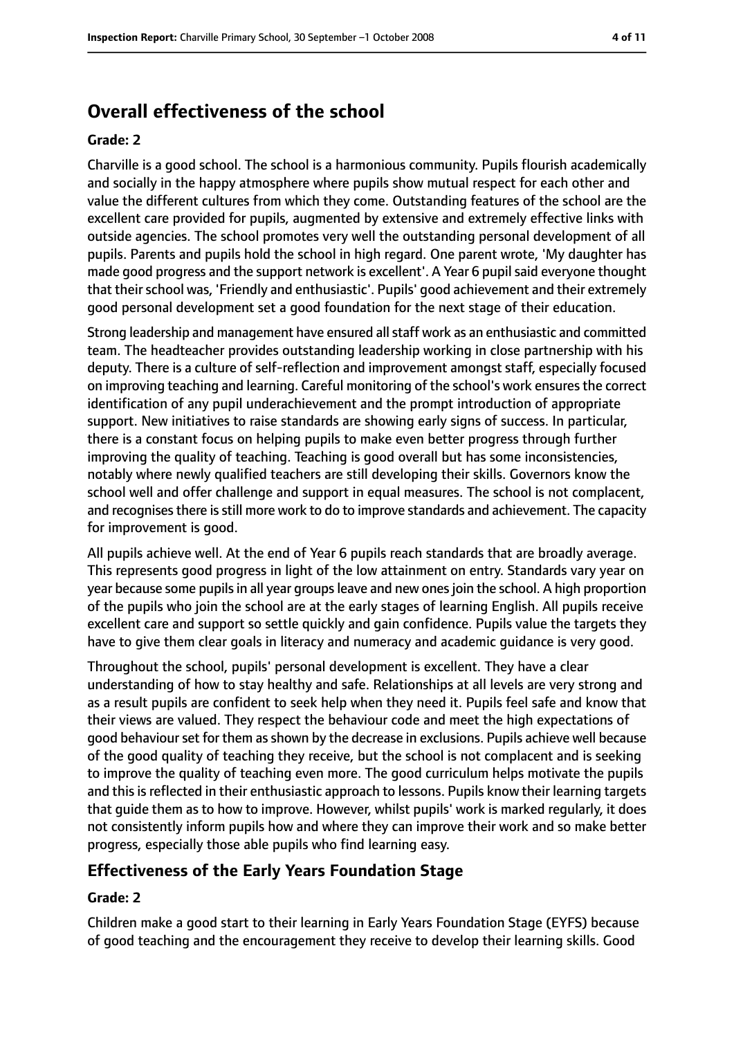### **Overall effectiveness of the school**

#### **Grade: 2**

Charville is a good school. The school is a harmonious community. Pupils flourish academically and socially in the happy atmosphere where pupils show mutual respect for each other and value the different cultures from which they come. Outstanding features of the school are the excellent care provided for pupils, augmented by extensive and extremely effective links with outside agencies. The school promotes very well the outstanding personal development of all pupils. Parents and pupils hold the school in high regard. One parent wrote, 'My daughter has made good progress and the support network is excellent'. A Year 6 pupil said everyone thought that their school was, 'Friendly and enthusiastic'. Pupils' good achievement and their extremely good personal development set a good foundation for the next stage of their education.

Strong leadership and management have ensured allstaff work as an enthusiastic and committed team. The headteacher provides outstanding leadership working in close partnership with his deputy. There is a culture of self-reflection and improvement amongst staff, especially focused on improving teaching and learning. Careful monitoring of the school's work ensures the correct identification of any pupil underachievement and the prompt introduction of appropriate support. New initiatives to raise standards are showing early signs of success. In particular, there is a constant focus on helping pupils to make even better progress through further improving the quality of teaching. Teaching is good overall but has some inconsistencies, notably where newly qualified teachers are still developing their skills. Governors know the school well and offer challenge and support in equal measures. The school is not complacent, and recognises there is still more work to do to improve standards and achievement. The capacity for improvement is good.

All pupils achieve well. At the end of Year 6 pupils reach standards that are broadly average. This represents good progress in light of the low attainment on entry. Standards vary year on year because some pupils in all year groups leave and new ones join the school. A high proportion of the pupils who join the school are at the early stages of learning English. All pupils receive excellent care and support so settle quickly and gain confidence. Pupils value the targets they have to give them clear goals in literacy and numeracy and academic guidance is very good.

Throughout the school, pupils' personal development is excellent. They have a clear understanding of how to stay healthy and safe. Relationships at all levels are very strong and as a result pupils are confident to seek help when they need it. Pupils feel safe and know that their views are valued. They respect the behaviour code and meet the high expectations of good behaviour set for them as shown by the decrease in exclusions. Pupils achieve well because of the good quality of teaching they receive, but the school is not complacent and is seeking to improve the quality of teaching even more. The good curriculum helps motivate the pupils and this is reflected in their enthusiastic approach to lessons. Pupils know their learning targets that guide them as to how to improve. However, whilst pupils' work is marked regularly, it does not consistently inform pupils how and where they can improve their work and so make better progress, especially those able pupils who find learning easy.

#### **Effectiveness of the Early Years Foundation Stage**

#### **Grade: 2**

Children make a good start to their learning in Early Years Foundation Stage (EYFS) because of good teaching and the encouragement they receive to develop their learning skills. Good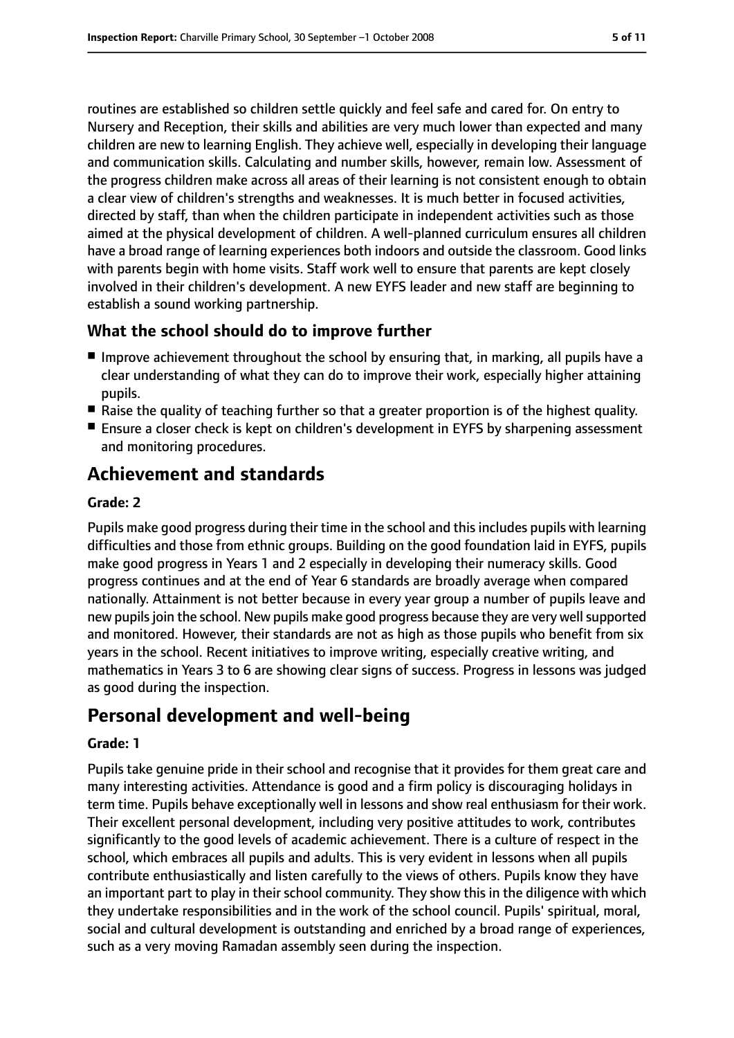routines are established so children settle quickly and feel safe and cared for. On entry to Nursery and Reception, their skills and abilities are very much lower than expected and many children are new to learning English. They achieve well, especially in developing their language and communication skills. Calculating and number skills, however, remain low. Assessment of the progress children make across all areas of their learning is not consistent enough to obtain a clear view of children's strengths and weaknesses. It is much better in focused activities, directed by staff, than when the children participate in independent activities such as those aimed at the physical development of children. A well-planned curriculum ensures all children have a broad range of learning experiences both indoors and outside the classroom. Good links with parents begin with home visits. Staff work well to ensure that parents are kept closely involved in their children's development. A new EYFS leader and new staff are beginning to establish a sound working partnership.

#### **What the school should do to improve further**

- Improve achievement throughout the school by ensuring that, in marking, all pupils have a clear understanding of what they can do to improve their work, especially higher attaining pupils.
- Raise the quality of teaching further so that a greater proportion is of the highest quality.
- Ensure a closer check is kept on children's development in EYFS by sharpening assessment and monitoring procedures.

### **Achievement and standards**

#### **Grade: 2**

Pupils make good progress during their time in the school and this includes pupils with learning difficulties and those from ethnic groups. Building on the good foundation laid in EYFS, pupils make good progress in Years 1 and 2 especially in developing their numeracy skills. Good progress continues and at the end of Year 6 standards are broadly average when compared nationally. Attainment is not better because in every year group a number of pupils leave and new pupils join the school. New pupils make good progress because they are very well supported and monitored. However, their standards are not as high as those pupils who benefit from six years in the school. Recent initiatives to improve writing, especially creative writing, and mathematics in Years 3 to 6 are showing clear signs of success. Progress in lessons was judged as good during the inspection.

### **Personal development and well-being**

#### **Grade: 1**

Pupils take genuine pride in their school and recognise that it provides for them great care and many interesting activities. Attendance is good and a firm policy is discouraging holidays in term time. Pupils behave exceptionally well in lessons and show real enthusiasm for their work. Their excellent personal development, including very positive attitudes to work, contributes significantly to the good levels of academic achievement. There is a culture of respect in the school, which embraces all pupils and adults. This is very evident in lessons when all pupils contribute enthusiastically and listen carefully to the views of others. Pupils know they have an important part to play in their school community. They show this in the diligence with which they undertake responsibilities and in the work of the school council. Pupils' spiritual, moral, social and cultural development is outstanding and enriched by a broad range of experiences, such as a very moving Ramadan assembly seen during the inspection.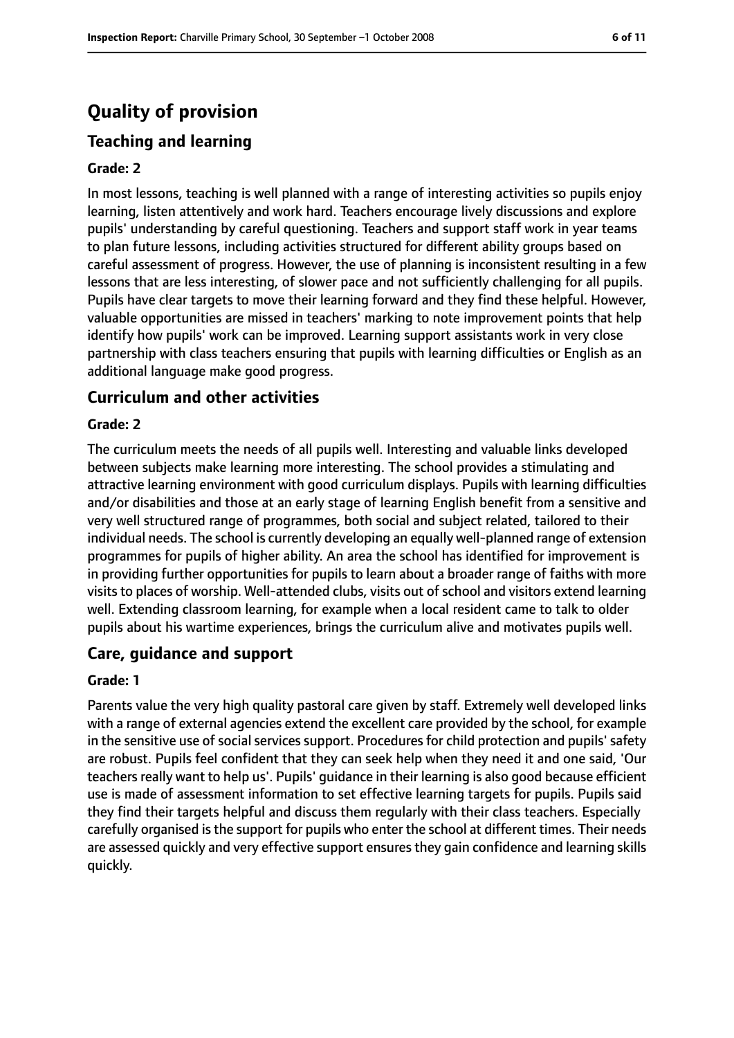### **Quality of provision**

#### **Teaching and learning**

#### **Grade: 2**

In most lessons, teaching is well planned with a range of interesting activities so pupils enjoy learning, listen attentively and work hard. Teachers encourage lively discussions and explore pupils' understanding by careful questioning. Teachers and support staff work in year teams to plan future lessons, including activities structured for different ability groups based on careful assessment of progress. However, the use of planning is inconsistent resulting in a few lessons that are less interesting, of slower pace and not sufficiently challenging for all pupils. Pupils have clear targets to move their learning forward and they find these helpful. However, valuable opportunities are missed in teachers' marking to note improvement points that help identify how pupils' work can be improved. Learning support assistants work in very close partnership with class teachers ensuring that pupils with learning difficulties or English as an additional language make good progress.

#### **Curriculum and other activities**

#### **Grade: 2**

The curriculum meets the needs of all pupils well. Interesting and valuable links developed between subjects make learning more interesting. The school provides a stimulating and attractive learning environment with good curriculum displays. Pupils with learning difficulties and/or disabilities and those at an early stage of learning English benefit from a sensitive and very well structured range of programmes, both social and subject related, tailored to their individual needs. The school is currently developing an equally well-planned range of extension programmes for pupils of higher ability. An area the school has identified for improvement is in providing further opportunities for pupils to learn about a broader range of faiths with more visits to places of worship. Well-attended clubs, visits out of school and visitors extend learning well. Extending classroom learning, for example when a local resident came to talk to older pupils about his wartime experiences, brings the curriculum alive and motivates pupils well.

#### **Care, guidance and support**

#### **Grade: 1**

Parents value the very high quality pastoral care given by staff. Extremely well developed links with a range of external agencies extend the excellent care provided by the school, for example in the sensitive use of social services support. Procedures for child protection and pupils' safety are robust. Pupils feel confident that they can seek help when they need it and one said, 'Our teachers really want to help us'. Pupils' guidance in their learning is also good because efficient use is made of assessment information to set effective learning targets for pupils. Pupils said they find their targets helpful and discuss them regularly with their class teachers. Especially carefully organised is the support for pupils who enter the school at different times. Their needs are assessed quickly and very effective support ensuresthey gain confidence and learning skills quickly.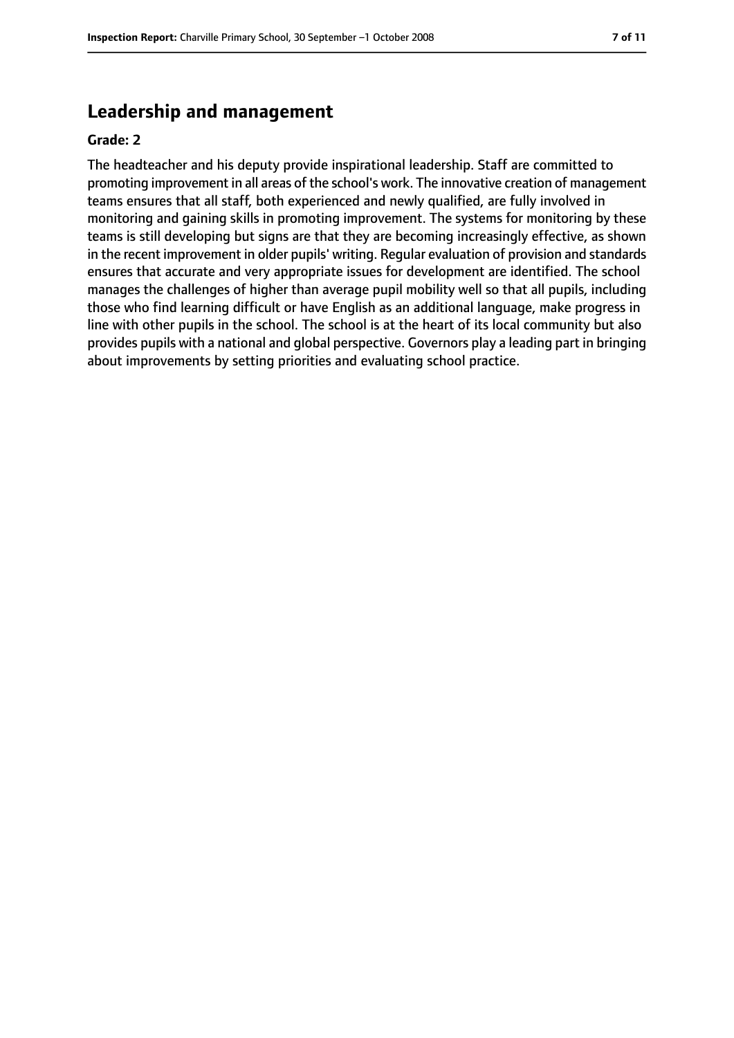#### **Leadership and management**

#### **Grade: 2**

The headteacher and his deputy provide inspirational leadership. Staff are committed to promoting improvement in all areas of the school's work. The innovative creation of management teams ensures that all staff, both experienced and newly qualified, are fully involved in monitoring and gaining skills in promoting improvement. The systems for monitoring by these teams is still developing but signs are that they are becoming increasingly effective, as shown in the recent improvement in older pupils' writing. Regular evaluation of provision and standards ensures that accurate and very appropriate issues for development are identified. The school manages the challenges of higher than average pupil mobility well so that all pupils, including those who find learning difficult or have English as an additional language, make progress in line with other pupils in the school. The school is at the heart of its local community but also provides pupils with a national and global perspective. Governors play a leading part in bringing about improvements by setting priorities and evaluating school practice.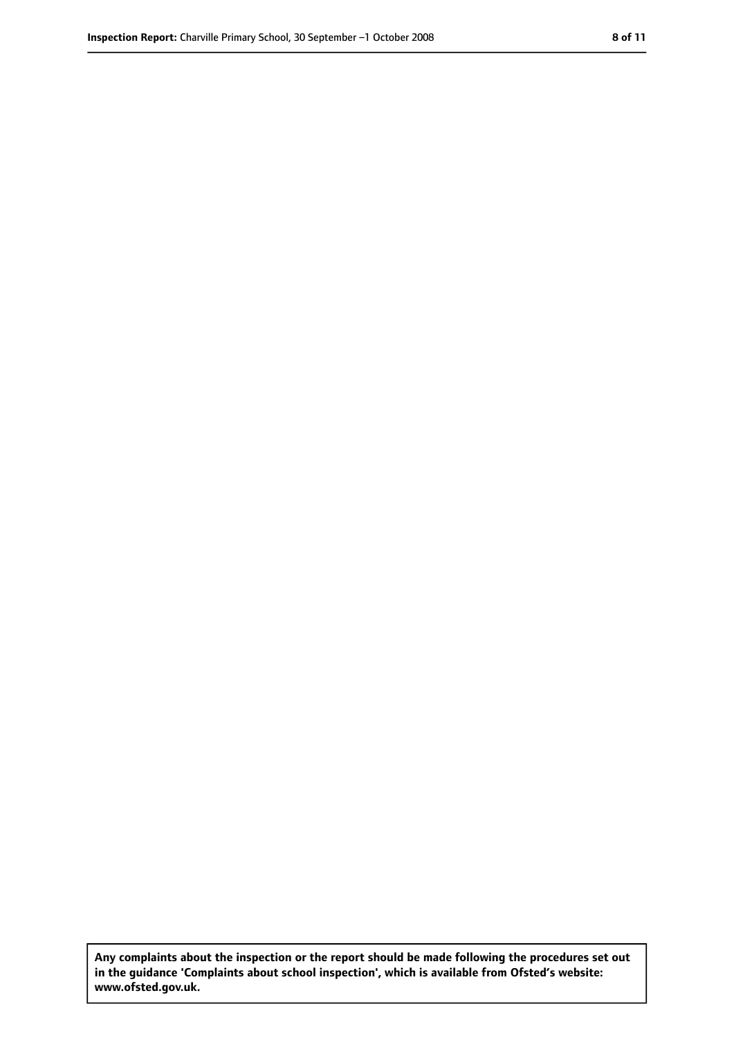**Any complaints about the inspection or the report should be made following the procedures set out in the guidance 'Complaints about school inspection', which is available from Ofsted's website: www.ofsted.gov.uk.**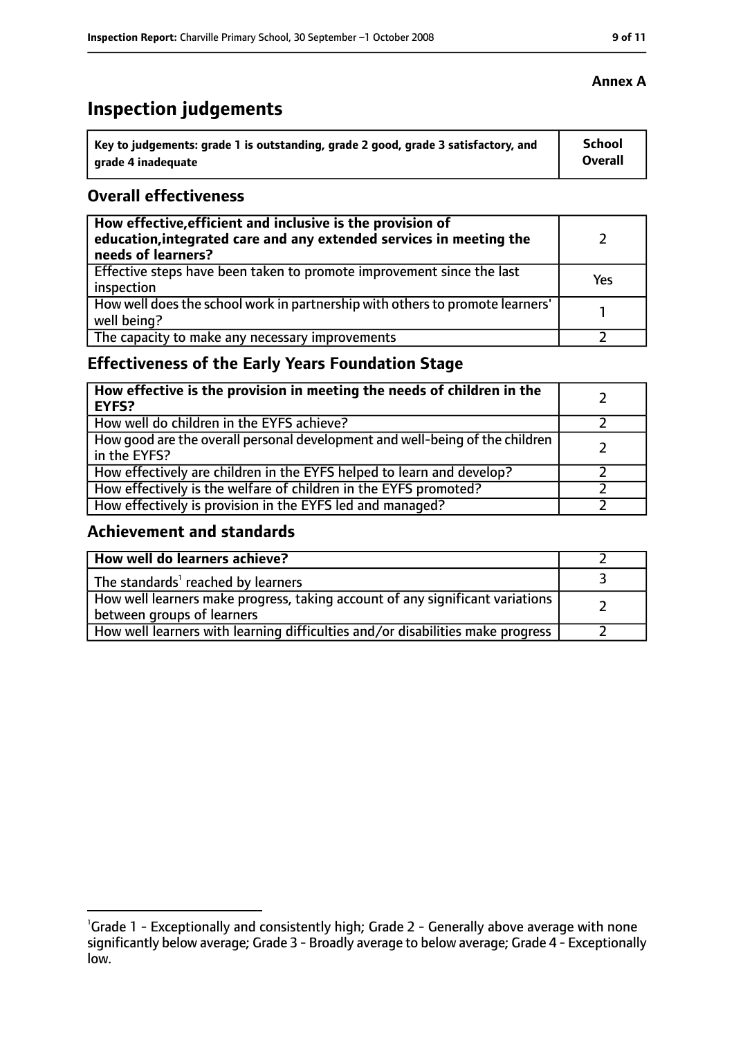## **Inspection judgements**

| Key to judgements: grade 1 is outstanding, grade 2 good, grade 3 satisfactory, and | School  |
|------------------------------------------------------------------------------------|---------|
| arade 4 inadequate                                                                 | Overall |

#### **Overall effectiveness**

| How effective, efficient and inclusive is the provision of<br>education, integrated care and any extended services in meeting the<br>needs of learners? |     |
|---------------------------------------------------------------------------------------------------------------------------------------------------------|-----|
| Effective steps have been taken to promote improvement since the last<br>inspection                                                                     | Yes |
| How well does the school work in partnership with others to promote learners'<br>well being?                                                            |     |
| The capacity to make any necessary improvements                                                                                                         |     |

### **Effectiveness of the Early Years Foundation Stage**

| How effective is the provision in meeting the needs of children in the<br><b>EYFS?</b>       |  |
|----------------------------------------------------------------------------------------------|--|
| How well do children in the EYFS achieve?                                                    |  |
| How good are the overall personal development and well-being of the children<br>in the EYFS? |  |
| How effectively are children in the EYFS helped to learn and develop?                        |  |
| How effectively is the welfare of children in the EYFS promoted?                             |  |
| How effectively is provision in the EYFS led and managed?                                    |  |

#### **Achievement and standards**

| How well do learners achieve?                                                                               |  |
|-------------------------------------------------------------------------------------------------------------|--|
| The standards <sup>1</sup> reached by learners                                                              |  |
| How well learners make progress, taking account of any significant variations<br>between groups of learners |  |
| How well learners with learning difficulties and/or disabilities make progress                              |  |

<sup>&</sup>lt;sup>1</sup>Grade 1 - Exceptionally and consistently high; Grade 2 - Generally above average with none significantly below average; Grade 3 - Broadly average to below average; Grade 4 - Exceptionally low.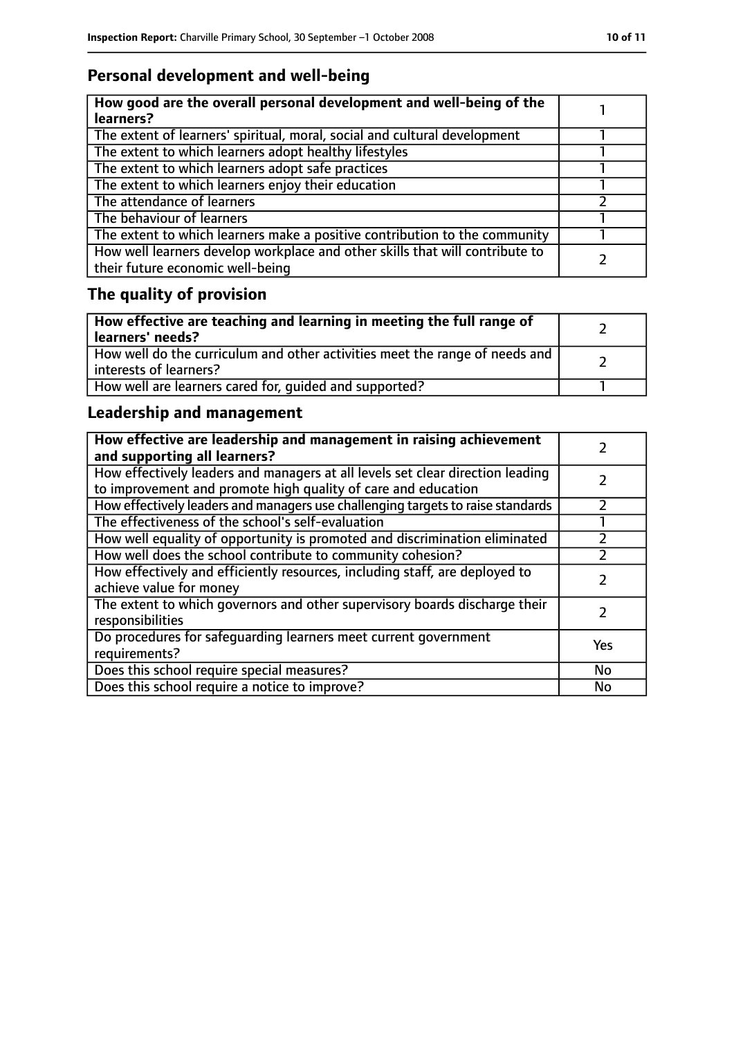### **Personal development and well-being**

| How good are the overall personal development and well-being of the<br>learners?                                 |  |
|------------------------------------------------------------------------------------------------------------------|--|
| The extent of learners' spiritual, moral, social and cultural development                                        |  |
| The extent to which learners adopt healthy lifestyles                                                            |  |
| The extent to which learners adopt safe practices                                                                |  |
| The extent to which learners enjoy their education                                                               |  |
| The attendance of learners                                                                                       |  |
| The behaviour of learners                                                                                        |  |
| The extent to which learners make a positive contribution to the community                                       |  |
| How well learners develop workplace and other skills that will contribute to<br>their future economic well-being |  |

### **The quality of provision**

| How effective are teaching and learning in meeting the full range of<br>learners' needs?              |  |
|-------------------------------------------------------------------------------------------------------|--|
| How well do the curriculum and other activities meet the range of needs and<br>interests of learners? |  |
| How well are learners cared for, quided and supported?                                                |  |

### **Leadership and management**

| How effective are leadership and management in raising achievement<br>and supporting all learners?                                              |     |
|-------------------------------------------------------------------------------------------------------------------------------------------------|-----|
| How effectively leaders and managers at all levels set clear direction leading<br>to improvement and promote high quality of care and education |     |
| How effectively leaders and managers use challenging targets to raise standards                                                                 |     |
| The effectiveness of the school's self-evaluation                                                                                               |     |
| How well equality of opportunity is promoted and discrimination eliminated                                                                      |     |
| How well does the school contribute to community cohesion?                                                                                      |     |
| How effectively and efficiently resources, including staff, are deployed to<br>achieve value for money                                          |     |
| The extent to which governors and other supervisory boards discharge their<br>responsibilities                                                  |     |
| Do procedures for safeguarding learners meet current government<br>requirements?                                                                | Yes |
| Does this school require special measures?                                                                                                      | No  |
| Does this school require a notice to improve?                                                                                                   | No  |